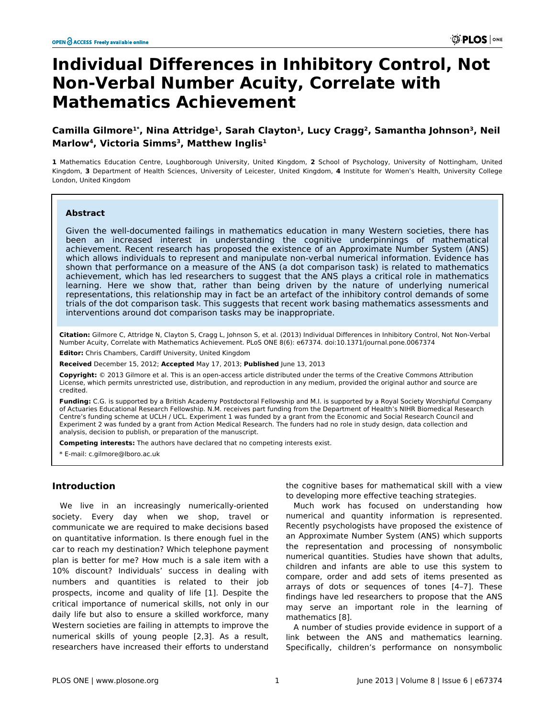# **Individual Differences in Inhibitory Control, Not Non-Verbal Number Acuity, Correlate with Mathematics Achievement**

## **Camilla Gilmore1\*, Nina Attridge<sup>1</sup> , Sarah Clayton<sup>1</sup> , Lucy Cragg<sup>2</sup> , Samantha Johnson<sup>3</sup> , Neil Marlow<sup>4</sup> , Victoria Simms<sup>3</sup> , Matthew Inglis<sup>1</sup>**

**1** Mathematics Education Centre, Loughborough University, United Kingdom, **2** School of Psychology, University of Nottingham, United Kingdom, **3** Department of Health Sciences, University of Leicester, United Kingdom, **4** Institute for Women's Health, University College London, United Kingdom

#### **Abstract**

Given the well-documented failings in mathematics education in many Western societies, there has been an increased interest in understanding the cognitive underpinnings of mathematical achievement. Recent research has proposed the existence of an Approximate Number System (ANS) which allows individuals to represent and manipulate non-verbal numerical information. Evidence has shown that performance on a measure of the ANS (a dot comparison task) is related to mathematics achievement, which has led researchers to suggest that the ANS plays a critical role in mathematics learning. Here we show that, rather than being driven by the nature of underlying numerical representations, this relationship may in fact be an artefact of the inhibitory control demands of some trials of the dot comparison task. This suggests that recent work basing mathematics assessments and interventions around dot comparison tasks may be inappropriate.

**Citation:** Gilmore C, Attridge N, Clayton S, Cragg L, Johnson S, et al. (2013) Individual Differences in Inhibitory Control, Not Non-Verbal Number Acuity, Correlate with Mathematics Achievement. PLoS ONE 8(6): e67374. doi:10.1371/journal.pone.0067374

**Editor:** Chris Chambers, Cardiff University, United Kingdom

**Received** December 15, 2012; **Accepted** May 17, 2013; **Published** June 13, 2013

**Copyright:** © 2013 Gilmore et al. This is an open-access article distributed under the terms of the Creative Commons Attribution License, which permits unrestricted use, distribution, and reproduction in any medium, provided the original author and source are credited.

**Funding:** C.G. is supported by a British Academy Postdoctoral Fellowship and M.I. is supported by a Royal Society Worshipful Company of Actuaries Educational Research Fellowship. N.M. receives part funding from the Department of Health's NIHR Biomedical Research Centre's funding scheme at UCLH / UCL. Experiment 1 was funded by a grant from the Economic and Social Research Council and Experiment 2 was funded by a grant from Action Medical Research. The funders had no role in study design, data collection and analysis, decision to publish, or preparation of the manuscript.

**Competing interests:** The authors have declared that no competing interests exist.

\* E-mail: c.gilmore@lboro.ac.uk

#### **Introduction**

We live in an increasingly numerically-oriented society. Every day when we shop, travel or communicate we are required to make decisions based on quantitative information. Is there enough fuel in the car to reach my destination? Which telephone payment plan is better for me? How much is a sale item with a 10% discount? Individuals' success in dealing with numbers and quantities is related to their job prospects, income and quality of life [[1\]](#page-7-0). Despite the critical importance of numerical skills, not only in our daily life but also to ensure a skilled workforce, many Western societies are failing in attempts to improve the numerical skills of young people [[2,3](#page-7-0)]. As a result, researchers have increased their efforts to understand

the cognitive bases for mathematical skill with a view to developing more effective teaching strategies.

Much work has focused on understanding how numerical and quantity information is represented. Recently psychologists have proposed the existence of an Approximate Number System (ANS) which supports the representation and processing of nonsymbolic numerical quantities. Studies have shown that adults, children and infants are able to use this system to compare, order and add sets of items presented as arrays of dots or sequences of tones [[4–7\]](#page-7-0). These findings have led researchers to propose that the ANS may serve an important role in the learning of mathematics [\[8\]](#page-7-0).

A number of studies provide evidence in support of a link between the ANS and mathematics learning. Specifically, children's performance on nonsymbolic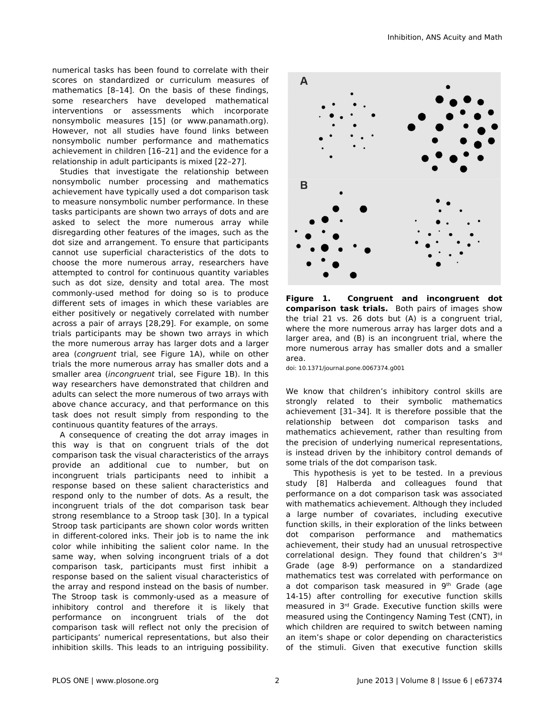numerical tasks has been found to correlate with their scores on standardized or curriculum measures of mathematics [[8](#page-7-0)–[14](#page-7-0)]. On the basis of these findings, some researchers have developed mathematical interventions or assessments which incorporate nonsymbolic measures [\[15](#page-7-0)] (or www.panamath.org). However, not all studies have found links between nonsymbolic number performance and mathematics achievement in children [\[16–21](#page-7-0)] and the evidence for a relationship in adult participants is mixed [\[22–27](#page-7-0)].

Studies that investigate the relationship between nonsymbolic number processing and mathematics achievement have typically used a dot comparison task to measure nonsymbolic number performance. In these tasks participants are shown two arrays of dots and are asked to select the more numerous array while disregarding other features of the images, such as the dot size and arrangement. To ensure that participants cannot use superficial characteristics of the dots to choose the more numerous array, researchers have attempted to control for continuous quantity variables such as dot size, density and total area. The most commonly-used method for doing so is to produce different sets of images in which these variables are either positively or negatively correlated with number across a pair of arrays [\[28,29](#page-7-0)]. For example, on some trials participants may be shown two arrays in which the more numerous array has larger dots and a larger area (congruent trial, see Figure 1A), while on other trials the more numerous array has smaller dots and a smaller area (incongruent trial, see Figure 1B). In this way researchers have demonstrated that children and adults can select the more numerous of two arrays with above chance accuracy, and that performance on this task does not result simply from responding to the continuous quantity features of the arrays.

A consequence of creating the dot array images in this way is that on congruent trials of the dot comparison task the visual characteristics of the arrays provide an additional cue to number, but on incongruent trials participants need to inhibit a response based on these salient characteristics and respond only to the number of dots. As a result, the incongruent trials of the dot comparison task bear strong resemblance to a Stroop task [\[30](#page-7-0)]. In a typical Stroop task participants are shown color words written in different-colored inks. Their job is to name the ink color while inhibiting the salient color name. In the same way, when solving incongruent trials of a dot comparison task, participants must first inhibit a response based on the salient visual characteristics of the array and respond instead on the basis of number. The Stroop task is commonly-used as a measure of inhibitory control and therefore it is likely that performance on incongruent trials of the dot comparison task will reflect not only the precision of participants' numerical representations, but also their inhibition skills. This leads to an intriguing possibility.



**Figure 1. Congruent and incongruent dot comparison task trials.** Both pairs of images show the trial 21 vs. 26 dots but (A) is a congruent trial, where the more numerous array has larger dots and a larger area, and (B) is an incongruent trial, where the more numerous array has smaller dots and a smaller area.

doi: 10.1371/journal.pone.0067374.g001

We know that children's inhibitory control skills are strongly related to their symbolic mathematics achievement [\[31](#page-7-0)–[34](#page-7-0)]. It is therefore possible that the relationship between dot comparison tasks and mathematics achievement, rather than resulting from the precision of underlying numerical representations, is instead driven by the inhibitory control demands of some trials of the dot comparison task.

This hypothesis is yet to be tested. In a previous study [[8](#page-7-0)] Halberda and colleagues found that performance on a dot comparison task was associated with mathematics achievement. Although they included a large number of covariates, including executive function skills, in their exploration of the links between dot comparison performance and mathematics achievement, their study had an unusual retrospective correlational design. They found that children's 3rd Grade (age 8-9) performance on a standardized mathematics test was correlated with performance on a dot comparison task measured in  $9<sup>th</sup>$  Grade (age 14-15) after controlling for executive function skills measured in 3rd Grade. Executive function skills were measured using the Contingency Naming Test (CNT), in which children are required to switch between naming an item's shape or color depending on characteristics of the stimuli. Given that executive function skills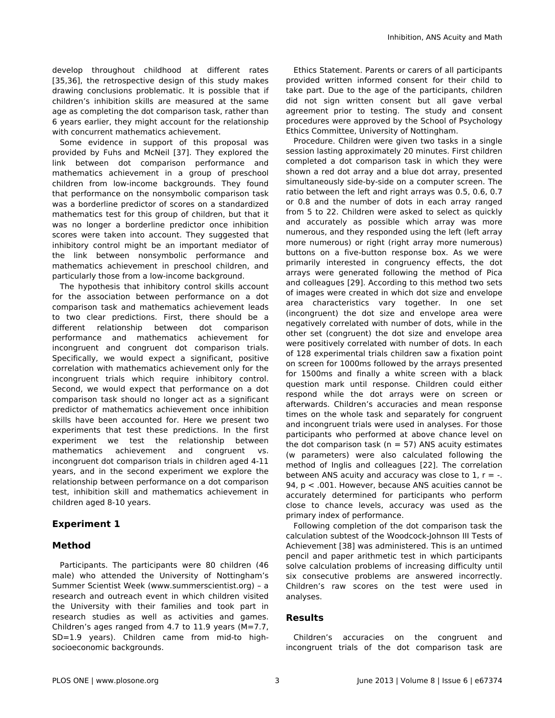develop throughout childhood at different rates [[35,36](#page-7-0)], the retrospective design of this study makes drawing conclusions problematic. It is possible that if children's inhibition skills are measured at the same age as completing the dot comparison task, rather than 6 years earlier, they might account for the relationship with concurrent mathematics achievement.

Some evidence in support of this proposal was provided by Fuhs and McNeil [[37](#page-7-0)]. They explored the link between dot comparison performance and mathematics achievement in a group of preschool children from low-income backgrounds. They found that performance on the nonsymbolic comparison task was a borderline predictor of scores on a standardized mathematics test for this group of children, but that it was no longer a borderline predictor once inhibition scores were taken into account. They suggested that inhibitory control might be an important mediator of the link between nonsymbolic performance and mathematics achievement in preschool children, and particularly those from a low-income background.

The hypothesis that inhibitory control skills account for the association between performance on a dot comparison task and mathematics achievement leads to two clear predictions. First, there should be a different relationship between dot comparison performance and mathematics achievement for incongruent and congruent dot comparison trials. Specifically, we would expect a significant, positive correlation with mathematics achievement only for the incongruent trials which require inhibitory control. Second, we would expect that performance on a dot comparison task should no longer act as a significant predictor of mathematics achievement once inhibition skills have been accounted for. Here we present two experiments that test these predictions. In the first experiment we test the relationship between mathematics achievement and congruent vs. incongruent dot comparison trials in children aged 4-11 years, and in the second experiment we explore the relationship between performance on a dot comparison test, inhibition skill and mathematics achievement in children aged 8-10 years.

# **Experiment 1**

## **Method**

Participants. The participants were 80 children (46 male) who attended the University of Nottingham's Summer Scientist Week (www.summerscientist.org) – a research and outreach event in which children visited the University with their families and took part in research studies as well as activities and games. Children's ages ranged from 4.7 to  $11.9$  years (M=7.7, SD=1.9 years). Children came from mid-to highsocioeconomic backgrounds.

Ethics Statement. Parents or carers of all participants provided written informed consent for their child to take part. Due to the age of the participants, children did not sign written consent but all gave verbal agreement prior to testing. The study and consent procedures were approved by the School of Psychology Ethics Committee, University of Nottingham.

Procedure. Children were given two tasks in a single session lasting approximately 20 minutes. First children completed a dot comparison task in which they were shown a red dot array and a blue dot array, presented simultaneously side-by-side on a computer screen. The ratio between the left and right arrays was 0.5, 0.6, 0.7 or 0.8 and the number of dots in each array ranged from 5 to 22. Children were asked to select as quickly and accurately as possible which array was more numerous, and they responded using the left (left array more numerous) or right (right array more numerous) buttons on a five-button response box. As we were primarily interested in congruency effects, the dot arrays were generated following the method of Pica and colleagues [[29](#page-7-0)]. According to this method two sets of images were created in which dot size and envelope area characteristics vary together. In one set (incongruent) the dot size and envelope area were negatively correlated with number of dots, while in the other set (congruent) the dot size and envelope area were positively correlated with number of dots. In each of 128 experimental trials children saw a fixation point on screen for 1000ms followed by the arrays presented for 1500ms and finally a white screen with a black question mark until response. Children could either respond while the dot arrays were on screen or afterwards. Children's accuracies and mean response times on the whole task and separately for congruent and incongruent trials were used in analyses. For those participants who performed at above chance level on the dot comparison task ( $n = 57$ ) ANS acuity estimates (w parameters) were also calculated following the method of Inglis and colleagues [[22](#page-7-0)]. The correlation between ANS acuity and accuracy was close to  $1, r = -1$ . 94, p < .001. However, because ANS acuities cannot be accurately determined for participants who perform close to chance levels, accuracy was used as the primary index of performance.

Following completion of the dot comparison task the calculation subtest of the Woodcock-Johnson III Tests of Achievement [[38](#page-7-0)] was administered. This is an untimed pencil and paper arithmetic test in which participants solve calculation problems of increasing difficulty until six consecutive problems are answered incorrectly. Children's raw scores on the test were used in analyses.

## **Results**

Children's accuracies on the congruent and incongruent trials of the dot comparison task are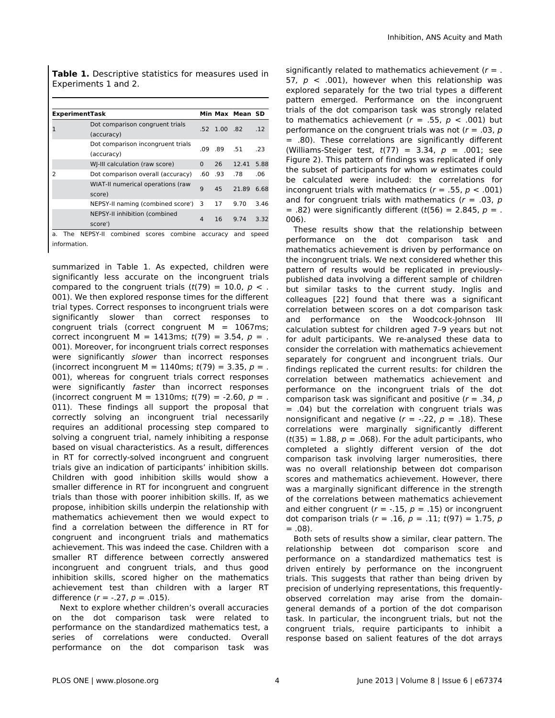Table 1. Descriptive statistics for measures used in Experiments 1 and 2.

|               |     | <b>ExperimentTask</b>                                 |          |                  | Min Max Mean SD |       |
|---------------|-----|-------------------------------------------------------|----------|------------------|-----------------|-------|
|               |     | Dot comparison congruent trials<br>(accuracy)         |          | $.52 \quad 1.00$ | .82             | .12   |
|               |     | Dot comparison incongruent trials<br>(accuracy)       | .09      | .89              | .51             | .23   |
|               |     | WJ-III calculation (raw score)                        | $\Omega$ | 26               | 12.41           | 5.88  |
| $\mathcal{P}$ |     | Dot comparison overall (accuracy)                     | .60      | .93              | .78             | .06   |
|               |     | WIAT-II numerical operations (raw<br>score)           | 9        | 45               | 21.89           | 6.68  |
|               |     | NEPSY-II naming (combined score <sup>*</sup> )        | 3        | 17               | 9.70            | 3.46  |
|               |     | NEPSY-II inhibition (combined<br>score <sup>®</sup> ) | 4        | 16               | 9.74            | 3.32  |
| a.            | The | NEPSY-II<br>combine<br>combined<br>scores             |          | accuracy         | and             | speed |

a. The NEPSY-II combined scores combine accuracy and speed information.

summarized in Table 1. As expected, children were significantly less accurate on the incongruent trials compared to the congruent trials  $(t(79) = 10.0, p <$ . 001). We then explored response times for the different trial types. Correct responses to incongruent trials were significantly slower than correct responses to congruent trials (correct congruent  $M = 1067$ ms; correct incongruent  $M = 1413$ ms;  $t(79) = 3.54$ ,  $p =$ . 001). Moreover, for incongruent trials correct responses were significantly slower than incorrect responses (incorrect incongruent  $M = 1140$ ms;  $t(79) = 3.35$ ,  $p =$ . 001), whereas for congruent trials correct responses were significantly *faster* than incorrect responses (incorrect congruent  $M = 1310$ ms;  $t(79) = -2.60$ ,  $p =$ . 011). These findings all support the proposal that correctly solving an incongruent trial necessarily requires an additional processing step compared to solving a congruent trial, namely inhibiting a response based on visual characteristics. As a result, differences in RT for correctly-solved incongruent and congruent trials give an indication of participants' inhibition skills. Children with good inhibition skills would show a smaller difference in RT for incongruent and congruent trials than those with poorer inhibition skills. If, as we propose, inhibition skills underpin the relationship with mathematics achievement then we would expect to find a correlation between the difference in RT for congruent and incongruent trials and mathematics achievement. This was indeed the case. Children with a smaller RT difference between correctly answered incongruent and congruent trials, and thus good inhibition skills, scored higher on the mathematics achievement test than children with a larger RT difference  $(r = -.27, p = .015)$ .

Next to explore whether children's overall accuracies on the dot comparison task were related to performance on the standardized mathematics test, a series of correlations were conducted. Overall performance on the dot comparison task was

significantly related to mathematics achievement ( $r =$ . 57,  $p$  < .001), however when this relationship was explored separately for the two trial types a different pattern emerged. Performance on the incongruent trials of the dot comparison task was strongly related to mathematics achievement ( $r = .55$ ,  $p < .001$ ) but performance on the congruent trials was not ( $r = .03$ ,  $p$ ) = .80). These correlations are significantly different (Williams-Steiger test,  $t(77) = 3.34$ ,  $p = .001$ ; see [Figure 2\)](#page-4-0). This pattern of findings was replicated if only the subset of participants for whom w estimates could be calculated were included: the correlations for incongruent trials with mathematics  $(r = .55, p < .001)$ and for congruent trials with mathematics ( $r = .03$ ,  $p$ = .82) were significantly different ( $t(56)$  = 2.845,  $p$  = . 006).

These results show that the relationship between performance on the dot comparison task and mathematics achievement is driven by performance on the incongruent trials. We next considered whether this pattern of results would be replicated in previouslypublished data involving a different sample of children but similar tasks to the current study. Inglis and colleagues [[22\]](#page-7-0) found that there was a significant correlation between scores on a dot comparison task and performance on the Woodcock-Johnson III calculation subtest for children aged 7–9 years but not for adult participants. We re-analysed these data to consider the correlation with mathematics achievement separately for congruent and incongruent trials. Our findings replicated the current results: for children the correlation between mathematics achievement and performance on the incongruent trials of the dot comparison task was significant and positive  $(r = .34, p)$  $= .04$ ) but the correlation with congruent trials was nonsignificant and negative  $(r = -.22, p = .18)$ . These correlations were marginally significantly different  $(t(35) = 1.88, p = .068)$ . For the adult participants, who completed a slightly different version of the dot comparison task involving larger numerosities, there was no overall relationship between dot comparison scores and mathematics achievement. However, there was a marginally significant difference in the strength of the correlations between mathematics achievement and either congruent ( $r = -.15$ ,  $p = .15$ ) or incongruent dot comparison trials ( $r = .16$ ,  $p = .11$ ;  $t(97) = 1.75$ ,  $p = .11$ ;  $= .08$ ).

Both sets of results show a similar, clear pattern. The relationship between dot comparison score and performance on a standardized mathematics test is driven entirely by performance on the incongruent trials. This suggests that rather than being driven by precision of underlying representations, this frequentlyobserved correlation may arise from the domaingeneral demands of a portion of the dot comparison task. In particular, the incongruent trials, but not the congruent trials, require participants to inhibit a response based on salient features of the dot arrays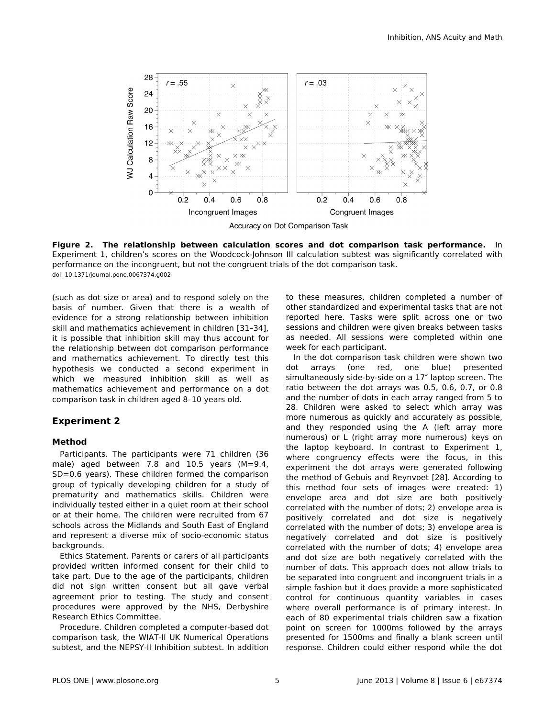<span id="page-4-0"></span>

**Figure 2. The relationship between calculation scores and dot comparison task performance.** In Experiment 1, children's scores on the Woodcock-Johnson III calculation subtest was significantly correlated with performance on the incongruent, but not the congruent trials of the dot comparison task. doi: 10.1371/journal.pone.0067374.g002

(such as dot size or area) and to respond solely on the basis of number. Given that there is a wealth of evidence for a strong relationship between inhibition skill and mathematics achievement in children [[31](#page-7-0)–[34](#page-7-0)], it is possible that inhibition skill may thus account for the relationship between dot comparison performance and mathematics achievement. To directly test this hypothesis we conducted a second experiment in which we measured inhibition skill as well as mathematics achievement and performance on a dot comparison task in children aged 8–10 years old.

## **Experiment 2**

#### **Method**

Participants. The participants were 71 children (36 male) aged between 7.8 and 10.5 years (M=9.4, SD=0.6 years). These children formed the comparison group of typically developing children for a study of prematurity and mathematics skills. Children were individually tested either in a quiet room at their school or at their home. The children were recruited from 67 schools across the Midlands and South East of England and represent a diverse mix of socio-economic status backgrounds.

Ethics Statement. Parents or carers of all participants provided written informed consent for their child to take part. Due to the age of the participants, children did not sign written consent but all gave verbal agreement prior to testing. The study and consent procedures were approved by the NHS, Derbyshire Research Ethics Committee.

Procedure. Children completed a computer-based dot comparison task, the WIAT-II UK Numerical Operations subtest, and the NEPSY-II Inhibition subtest. In addition

to these measures, children completed a number of other standardized and experimental tasks that are not reported here. Tasks were split across one or two sessions and children were given breaks between tasks as needed. All sessions were completed within one week for each participant.

In the dot comparison task children were shown two dot arrays (one red, one blue) presented simultaneously side-by-side on a 17″ laptop screen. The ratio between the dot arrays was 0.5, 0.6, 0.7, or 0.8 and the number of dots in each array ranged from 5 to 28. Children were asked to select which array was more numerous as quickly and accurately as possible, and they responded using the A (left array more numerous) or L (right array more numerous) keys on the laptop keyboard. In contrast to Experiment 1, where congruency effects were the focus, in this experiment the dot arrays were generated following the method of Gebuis and Reynvoet [[28\]](#page-7-0). According to this method four sets of images were created: 1) envelope area and dot size are both positively correlated with the number of dots; 2) envelope area is positively correlated and dot size is negatively correlated with the number of dots; 3) envelope area is negatively correlated and dot size is positively correlated with the number of dots; 4) envelope area and dot size are both negatively correlated with the number of dots. This approach does not allow trials to be separated into congruent and incongruent trials in a simple fashion but it does provide a more sophisticated control for continuous quantity variables in cases where overall performance is of primary interest. In each of 80 experimental trials children saw a fixation point on screen for 1000ms followed by the arrays presented for 1500ms and finally a blank screen until response. Children could either respond while the dot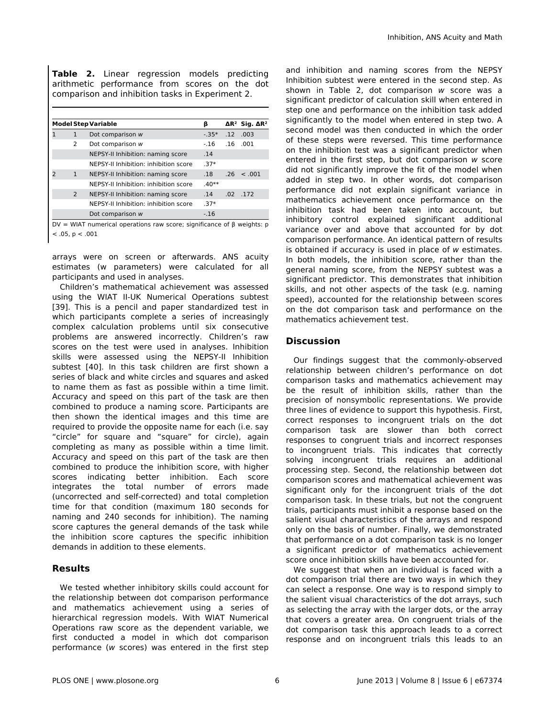**Table 2.** Linear regression models predicting arithmetic performance from scores on the dot comparison and inhibition tasks in Experiment 2.

| $AR2$ Sig. $AR2$<br><b>Model Step Variable</b><br>ß |                                       |         |     |        |  |  |  |
|-----------------------------------------------------|---------------------------------------|---------|-----|--------|--|--|--|
| 1                                                   | Dot comparison w                      | $-.35*$ | .12 | .003   |  |  |  |
| 2                                                   | Dot comparison w                      | $-.16$  | .16 | .001   |  |  |  |
|                                                     | NEPSY-II Inhibition: naming score     | .14     |     |        |  |  |  |
|                                                     | NEPSY-II Inhibition: inhibition score | $.37*$  |     |        |  |  |  |
| $\mathbf{1}$                                        | NEPSY-II Inhibition: naming score     | .18     | .26 | < .001 |  |  |  |
|                                                     | NEPSY-II Inhibition: inhibition score | $.40**$ |     |        |  |  |  |
| 2                                                   | NEPSY-II Inhibition: naming score     | .14     | .02 | .172   |  |  |  |
|                                                     | NEPSY-II Inhibition: inhibition score | $.37*$  |     |        |  |  |  |
|                                                     | Dot comparison w                      | $-.16$  |     |        |  |  |  |

DV = WIAT numerical operations raw score; significance of β weights: p  $< .05, p < .001$ 

arrays were on screen or afterwards. ANS acuity estimates (w parameters) were calculated for all participants and used in analyses.

Children's mathematical achievement was assessed using the WIAT II-UK Numerical Operations subtest [[39\]](#page-7-0). This is a pencil and paper standardized test in which participants complete a series of increasingly complex calculation problems until six consecutive problems are answered incorrectly. Children's raw scores on the test were used in analyses. Inhibition skills were assessed using the NEPSY-II Inhibition subtest [[40\]](#page-7-0). In this task children are first shown a series of black and white circles and squares and asked to name them as fast as possible within a time limit. Accuracy and speed on this part of the task are then combined to produce a naming score. Participants are then shown the identical images and this time are required to provide the opposite name for each (i.e. say "circle" for square and "square" for circle), again completing as many as possible within a time limit. Accuracy and speed on this part of the task are then combined to produce the inhibition score, with higher scores indicating better inhibition. Each score integrates the total number of errors made (uncorrected and self-corrected) and total completion time for that condition (maximum 180 seconds for naming and 240 seconds for inhibition). The naming score captures the general demands of the task while the inhibition score captures the specific inhibition demands in addition to these elements.

#### **Results**

We tested whether inhibitory skills could account for the relationship between dot comparison performance and mathematics achievement using a series of hierarchical regression models. With WIAT Numerical Operations raw score as the dependent variable, we first conducted a model in which dot comparison performance (w scores) was entered in the first step

and inhibition and naming scores from the NEPSY Inhibition subtest were entered in the second step. As shown in Table 2, dot comparison w score was a significant predictor of calculation skill when entered in step one and performance on the inhibition task added significantly to the model when entered in step two. A second model was then conducted in which the order of these steps were reversed. This time performance on the inhibition test was a significant predictor when entered in the first step, but dot comparison w score did not significantly improve the fit of the model when added in step two. In other words, dot comparison performance did not explain significant variance in mathematics achievement once performance on the inhibition task had been taken into account, but inhibitory control explained significant additional variance over and above that accounted for by dot comparison performance. An identical pattern of results is obtained if accuracy is used in place of w estimates. In both models, the inhibition score, rather than the general naming score, from the NEPSY subtest was a significant predictor. This demonstrates that inhibition skills, and not other aspects of the task (e.g. naming speed), accounted for the relationship between scores on the dot comparison task and performance on the mathematics achievement test.

#### **Discussion**

Our findings suggest that the commonly-observed relationship between children's performance on dot comparison tasks and mathematics achievement may be the result of inhibition skills, rather than the precision of nonsymbolic representations. We provide three lines of evidence to support this hypothesis. First, correct responses to incongruent trials on the dot comparison task are slower than both correct responses to congruent trials and incorrect responses to incongruent trials. This indicates that correctly solving incongruent trials requires an additional processing step. Second, the relationship between dot comparison scores and mathematical achievement was significant only for the incongruent trials of the dot comparison task. In these trials, but not the congruent trials, participants must inhibit a response based on the salient visual characteristics of the arrays and respond only on the basis of number. Finally, we demonstrated that performance on a dot comparison task is no longer a significant predictor of mathematics achievement score once inhibition skills have been accounted for.

We suggest that when an individual is faced with a dot comparison trial there are two ways in which they can select a response. One way is to respond simply to the salient visual characteristics of the dot arrays, such as selecting the array with the larger dots, or the array that covers a greater area. On congruent trials of the dot comparison task this approach leads to a correct response and on incongruent trials this leads to an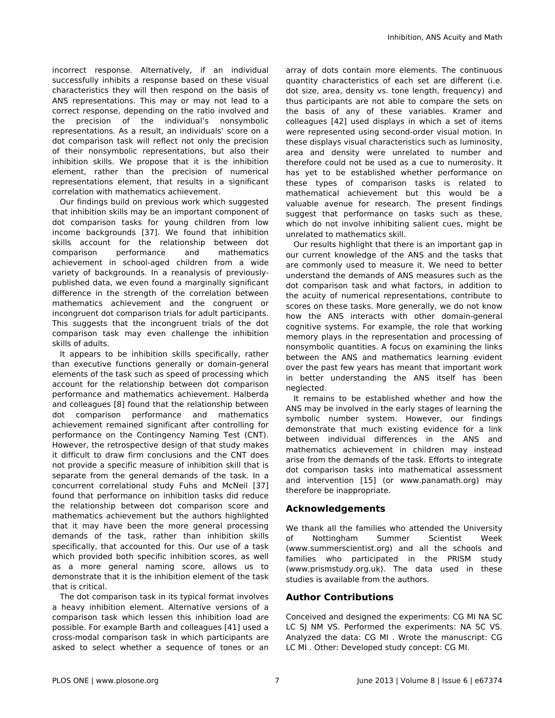incorrect response. Alternatively, if an individual successfully inhibits a response based on these visual characteristics they will then respond on the basis of ANS representations. This may or may not lead to a correct response, depending on the ratio involved and the precision of the individual's nonsymbolic representations. As a result, an individuals' score on a dot comparison task will reflect not only the precision of their nonsymbolic representations, but also their inhibition skills. We propose that it is the inhibition element, rather than the precision of numerical representations element, that results in a significant correlation with mathematics achievement.

Our findings build on previous work which suggested that inhibition skills may be an important component of dot comparison tasks for young children from low income backgrounds [[37](#page-7-0)]. We found that inhibition skills account for the relationship between dot comparison performance and mathematics achievement in school-aged children from a wide variety of backgrounds. In a reanalysis of previouslypublished data, we even found a marginally significant difference in the strength of the correlation between mathematics achievement and the congruent or incongruent dot comparison trials for adult participants. This suggests that the incongruent trials of the dot comparison task may even challenge the inhibition skills of adults.

It appears to be inhibition skills specifically, rather than executive functions generally or domain-general elements of the task such as speed of processing which account for the relationship between dot comparison performance and mathematics achievement. Halberda and colleagues [[8](#page-7-0)] found that the relationship between dot comparison performance and mathematics achievement remained significant after controlling for performance on the Contingency Naming Test (CNT). However, the retrospective design of that study makes it difficult to draw firm conclusions and the CNT does not provide a specific measure of inhibition skill that is separate from the general demands of the task. In a concurrent correlational study Fuhs and McNeil [\[37](#page-7-0)] found that performance on inhibition tasks did reduce the relationship between dot comparison score and mathematics achievement but the authors highlighted that it may have been the more general processing demands of the task, rather than inhibition skills specifically, that accounted for this. Our use of a task which provided both specific inhibition scores, as well as a more general naming score, allows us to demonstrate that it is the inhibition element of the task that is critical.

The dot comparison task in its typical format involves a heavy inhibition element. Alternative versions of a comparison task which lessen this inhibition load are possible. For example Barth and colleagues [[41\]](#page-8-0) used a cross-modal comparison task in which participants are asked to select whether a sequence of tones or an

array of dots contain more elements. The continuous quantity characteristics of each set are different (i.e. dot size, area, density vs. tone length, frequency) and thus participants are not able to compare the sets on the basis of any of these variables. Kramer and colleagues [[42](#page-8-0)] used displays in which a set of items were represented using second-order visual motion. In these displays visual characteristics such as luminosity, area and density were unrelated to number and therefore could not be used as a cue to numerosity. It has yet to be established whether performance on these types of comparison tasks is related to mathematical achievement but this would be a valuable avenue for research. The present findings suggest that performance on tasks such as these, which do not involve inhibiting salient cues, might be unrelated to mathematics skill.

Our results highlight that there is an important gap in our current knowledge of the ANS and the tasks that are commonly used to measure it. We need to better understand the demands of ANS measures such as the dot comparison task and what factors, in addition to the acuity of numerical representations, contribute to scores on these tasks. More generally, we do not know how the ANS interacts with other domain-general cognitive systems. For example, the role that working memory plays in the representation and processing of nonsymbolic quantities. A focus on examining the links between the ANS and mathematics learning evident over the past few years has meant that important work in better understanding the ANS itself has been neglected.

It remains to be established whether and how the ANS may be involved in the early stages of learning the symbolic number system. However, our findings demonstrate that much existing evidence for a link between individual differences in the ANS and mathematics achievement in children may instead arise from the demands of the task. Efforts to integrate dot comparison tasks into mathematical assessment and intervention [[15\]](#page-7-0) (or www.panamath.org) may therefore be inappropriate.

## **Acknowledgements**

We thank all the families who attended the University of Nottingham Summer Scientist Week ([www.summerscientist.org\)](http://www.summerscientist.org) and all the schools and families who participated in the PRISM study ([www.prismstudy.org.uk\)](http://www.prismstudy.org.uk). The data used in these studies is available from the authors.

## **Author Contributions**

Conceived and designed the experiments: CG MI NA SC LC SJ NM VS. Performed the experiments: NA SC VS. Analyzed the data: CG MI . Wrote the manuscript: CG LC MI . Other: Developed study concept: CG MI.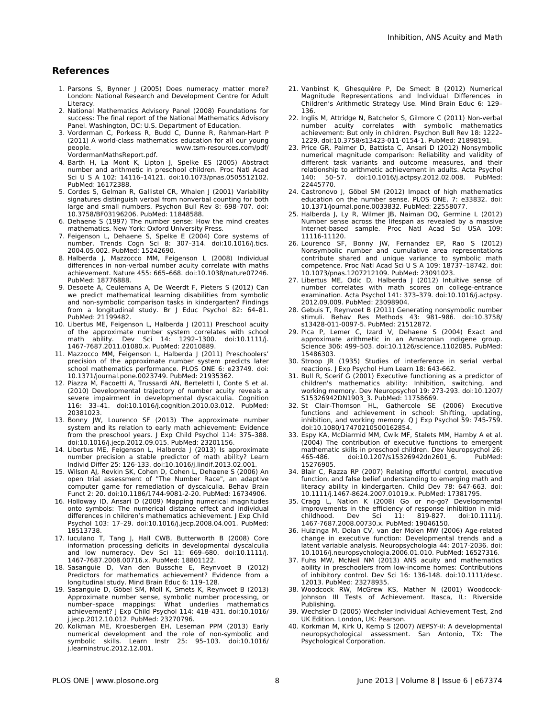#### <span id="page-7-0"></span>**References**

- 1. Parsons S, Bynner J (2005) Does numeracy matter more? London: National Research and Development Centre for Adult Literacy.
- 2. National Mathematics Advisory Panel (2008) Foundations for success: The final report of the National Mathematics Advisory Panel. Washington, DC: U.S. Department of Education.
- 3. Vorderman C, Porkess R, Budd C, Dunne R, Rahman-Hart P (2011) A world-class mathematics education for all our young people. [www.tsm-resources.com/pdf/](http://www.tsm-resources.com/pdf/vordermanmathsreport.pdf) [VordermanMathsReport.pdf.](http://www.tsm-resources.com/pdf/vordermanmathsreport.pdf)
- 4. Barth H, La Mont K, Lipton J, Spelke ES (2005) Abstract number and arithmetic in preschool children. Proc Natl Acad Sci U S A 102: 14116–14121. doi[:10.1073/pnas.0505512102](http://dx.doi.org/10.1073/pnas.0505512102). PubMed: [16172388.](http://www.ncbi.nlm.nih.gov/pubmed/16172388)
- 5. Cordes S, Gelman R, Gallistel CR, Whalen J (2001) Variability signatures distinguish verbal from nonverbal counting for both large and small numbers. Psychon Bull Rev 8: 698–707. doi: [10.3758/BF03196206](http://dx.doi.org/10.3758/BF03196206). PubMed: [11848588.](http://www.ncbi.nlm.nih.gov/pubmed/11848588)
- 6. Dehaene S (1997) The number sense: How the mind creates mathematics. New York: Oxford University Press.
- 7. Feigenson L, Dehaene S, Spelke E (2004) Core systems of number. Trends Cogn Sci 8: 307–314. doi:[10.1016/j.tics.](http://dx.doi.org/10.1016/j.tics.2004.05.002) [2004.05.002](http://dx.doi.org/10.1016/j.tics.2004.05.002). PubMed: [15242690.](http://www.ncbi.nlm.nih.gov/pubmed/15242690)
- 8. Halberda J, Mazzocco MM, Feigenson L (2008) Individual differences in non-verbal number acuity correlate with maths achievement. Nature 455: 665–668. doi:[10.1038/nature07246](http://dx.doi.org/10.1038/nature07246). PubMed: [18776888.](http://www.ncbi.nlm.nih.gov/pubmed/18776888)
- 9. Desoete A, Ceulemans A, De Weerdt F, Pieters S (2012) Can we predict mathematical learning disabilities from symbolic and non-symbolic comparison tasks in kindergarten? Findings from a longitudinal study. Br J Educ Psychol 82: 64–81. PubMed: [21199482.](http://www.ncbi.nlm.nih.gov/pubmed/21199482)
- 10. Libertus ME, Feigenson L, Halberda J (2011) Preschool acuity of the approximate number system correlates with school math ability. Dev Sci 14: 1292–1300. doi[:10.1111/j.](http://dx.doi.org/10.1111/j.1467-7687.2011.01080.x) [1467-7687.2011.01080.x.](http://dx.doi.org/10.1111/j.1467-7687.2011.01080.x) PubMed: [22010889](http://www.ncbi.nlm.nih.gov/pubmed/22010889).
- 11. Mazzocco MM, Feigenson L, Halberda J (2011) Preschoolers' precision of the approximate number system predicts later school mathematics performance. PLOS ONE 6: e23749. doi: [10.1371/journal.pone.0023749](http://dx.doi.org/10.1371/journal.pone.0023749). PubMed: [21935362.](http://www.ncbi.nlm.nih.gov/pubmed/21935362)
- 12. Piazza M, Facoetti A, Trussardi AN, Berteletti I, Conte S et al. (2010) Developmental trajectory of number acuity reveals a severe impairment in developmental dyscalculia. Cognition 116: 33–41. doi:[10.1016/j.cognition.2010.03.012.](http://dx.doi.org/10.1016/j.cognition.2010.03.012) PubMed: [20381023](http://www.ncbi.nlm.nih.gov/pubmed/20381023).
- 13. Bonny JW, Lourenco SF (2013) The approximate number system and its relation to early math achievement: Evidence from the preschool years. J Exp Child Psychol 114: 375–388. doi:[10.1016/j.jecp.2012.09.015](http://dx.doi.org/10.1016/j.jecp.2012.09.015). PubMed: [23201156.](http://www.ncbi.nlm.nih.gov/pubmed/23201156)
- 14. Libertus ME, Feigenson L, Halberda J (2013) Is approximate number precision a stable predictor of math ability? Learn Individ Differ 25: 126-133. doi[:10.1016/j.lindif.2013.02.001.](http://dx.doi.org/10.1016/j.lindif.2013.02.001)
- 15. Wilson AJ, Revkin SK, Cohen D, Cohen L, Dehaene S (2006) An open trial assessment of "The Number Race", an adaptive computer game for remediation of dyscalculia. Behav Brain Funct 2: 20. doi:[10.1186/1744-9081-2-20.](http://dx.doi.org/10.1186/1744-9081-2-20) PubMed: [16734906](http://www.ncbi.nlm.nih.gov/pubmed/16734906).
- 16. Holloway ID, Ansari D (2009) Mapping numerical magnitudes onto symbols: The numerical distance effect and individual differences in children's mathematics achievement. J Exp Child Psychol 103: 17–29. doi:[10.1016/j.jecp.2008.04.001.](http://dx.doi.org/10.1016/j.jecp.2008.04.001) PubMed: [18513738](http://www.ncbi.nlm.nih.gov/pubmed/18513738).
- 17. Iuculano T, Tang J, Hall CWB, Butterworth B (2008) Core information processing deficits in developmental dyscalculia and low numeracy. Dev Sci 11: 669-680. doi[:10.1111/j.](http://dx.doi.org/10.1111/j.1467-7687.2008.00716.x) [1467-7687.2008.00716.x.](http://dx.doi.org/10.1111/j.1467-7687.2008.00716.x) PubMed: [18801122](http://www.ncbi.nlm.nih.gov/pubmed/18801122).
- 18. Sasanguie D, Van den Bussche E, Reynvoet B (2012) Predictors for mathematics achievement? Evidence from a longitudinal study. Mind Brain Educ 6: 119–128.
- 19. Sasanguie D, Göbel SM, Moll K, Smets K, Reynvoet B (2013) Approximate number sense, symbolic number processing, or number–space mappings: What underlies mathematics achievement? J Exp Child Psychol 114: 418–431. doi[:10.1016/](http://dx.doi.org/10.1016/j.jecp.2012.10.012) [j.jecp.2012.10.012](http://dx.doi.org/10.1016/j.jecp.2012.10.012). PubMed: [23270796.](http://www.ncbi.nlm.nih.gov/pubmed/23270796)
- 20. Kolkman ME, Kroesbergen EH, Leseman PPM (2013) Early numerical development and the role of non-symbolic and symbolic skills. Learn Instr 25: 95–103. doi[:10.1016/](http://dx.doi.org/10.1016/j.learninstruc.2012.12.001) [j.learninstruc.2012.12.001](http://dx.doi.org/10.1016/j.learninstruc.2012.12.001).
- 21. Vanbinst K, Ghesquière P, De Smedt B (2012) Numerical Magnitude Representations and Individual Differences in Children's Arithmetic Strategy Use. Mind Brain Educ 6: 129– 136.
- 22. Inglis M, Attridge N, Batchelor S, Gilmore C (2011) Non-verbal number acuity correlates with symbolic mathematics achievement: But only in children. Psychon Bull Rev 18: 1222– 1229. doi:[10.3758/s13423-011-0154-1](http://dx.doi.org/10.3758/s13423-011-0154-1). PubMed: [21898191.](http://www.ncbi.nlm.nih.gov/pubmed/21898191)
- 23. Price GR, Palmer D, Battista C, Ansari D (2012) Nonsymbolic numerical magnitude comparison: Reliability and validity of different task variants and outcome measures, and their relationship to arithmetic achievement in adults. Acta Psychol<br>140: 50-57. doi:10.1016/i.actpsy.2012.02.008. PubMed: 140: 50–57. doi:[10.1016/j.actpsy.2012.02.008](http://dx.doi.org/10.1016/j.actpsy.2012.02.008). PubMed: [22445770](http://www.ncbi.nlm.nih.gov/pubmed/22445770).
- 24. Castronovo J, Göbel SM (2012) Impact of high mathematics education on the number sense. PLOS ONE, 7: e33832. doi: [10.1371/journal.pone.0033832](http://dx.doi.org/10.1371/journal.pone.0033832). PubMed: [22558077.](http://www.ncbi.nlm.nih.gov/pubmed/22558077)
- 25. Halberda J, Ly R, Wilmer JB, Naiman DQ, Germine L (2012) Number sense across the lifespan as revealed by a massive Internet-based sample. Proc Natl Acad Sci USA 109: 11116-11120.
- 26. Lourenco SF, Bonny JW, Fernandez EP, Rao S (2012) Nonsymbolic number and cumulative area representations contribute shared and unique variance to symbolic math competence. Proc Natl Acad Sci U S A 109: 18737–18742. doi: [10.1073/pnas.1207212109](http://dx.doi.org/10.1073/pnas.1207212109). PubMed: [23091023.](http://www.ncbi.nlm.nih.gov/pubmed/23091023)
- 27. Libertus ME, Odic D, Halberda J (2012) Intuitive sense of number correlates with math scores on college-entrance examination. Acta Psychol 141: 373–379. doi:[10.1016/j.actpsy.](http://dx.doi.org/10.1016/j.actpsy.2012.09.009) [2012.09.009](http://dx.doi.org/10.1016/j.actpsy.2012.09.009). PubMed: [23098904.](http://www.ncbi.nlm.nih.gov/pubmed/23098904)
- 28. Gebuis T, Reynvoet B (2011) Generating nonsymbolic number stimuli. Behav Res Methods 43: 981–986. doi[:10.3758/](http://dx.doi.org/10.3758/s13428-011-0097-5) [s13428-011-0097-5.](http://dx.doi.org/10.3758/s13428-011-0097-5) PubMed: [21512872](http://www.ncbi.nlm.nih.gov/pubmed/21512872).
- 29. Pica P, Lemer C, Izard V, Dehaene S (2004) Exact and approximate arithmetic in an Amazonian indigene group. Science 306: 499–503. doi[:10.1126/science.1102085](http://dx.doi.org/10.1126/science.1102085). PubMed: [15486303](http://www.ncbi.nlm.nih.gov/pubmed/15486303).
- 30. Stroop JR (1935) Studies of interference in serial verbal reactions. J Exp Psychol Hum Learn 18: 643-662.
- 31. Bull R, Scerif G (2001) Executive functioning as a predictor of children's mathematics ability: Inhibition, switching, and working memory. Dev Neuropsychol 19: 273-293. doi[:10.1207/](http://dx.doi.org/10.1207/S15326942DN1903_3) [S15326942DN1903\\_3.](http://dx.doi.org/10.1207/S15326942DN1903_3) PubMed: [11758669.](http://www.ncbi.nlm.nih.gov/pubmed/11758669)
- 32. St Clair-Thomson HL, Gathercole SE (2006) Executive functions and achievement in school: Shifting, updating, inhibition, and working memory. Q J Exp Psychol 59: 745-759. doi:[10.1080/17470210500162854.](http://dx.doi.org/10.1080/17470210500162854)
- 33. Espy KA, McDiarmid MM, Cwik MF, Stalets MM, Hamby A et al. (2004) The contribution of executive functions to emergent mathematic skills in preschool children. Dev Neuropsychol 26:<br>465-486. doi:10.1207/s15326942dn2601 6. PubMed: doi:[10.1207/s15326942dn2601\\_6](http://dx.doi.org/10.1207/s15326942dn2601_6). [15276905](http://www.ncbi.nlm.nih.gov/pubmed/15276905).
- 34. Blair C, Razza RP (2007) Relating effortful control, executive function, and false belief understanding to emerging math and literacy ability in kindergarten. Child Dev 78: 647-663. doi: [10.1111/j.1467-8624.2007.01019.x](http://dx.doi.org/10.1111/j.1467-8624.2007.01019.x). PubMed: [17381795.](http://www.ncbi.nlm.nih.gov/pubmed/17381795)
- 35. Cragg L, Nation K (2008) Go or no-go? Developmental improvements in the efficiency of response inhibition in midchildhood. Dev Sci 11: 819-827. doi:[10.1111/j.](http://dx.doi.org/10.1111/j.1467-7687.2008.00730.x) [1467-7687.2008.00730.x.](http://dx.doi.org/10.1111/j.1467-7687.2008.00730.x) PubMed: [19046150](http://www.ncbi.nlm.nih.gov/pubmed/19046150).
- 36. Huizinga M, Dolan CV, van der Molen MW (2006) Age-related change in executive function: Developmental trends and a latent variable analysis. Neuropsychologia 44: 2017-2036. doi: [10.1016/j.neuropsychologia.2006.01.010.](http://dx.doi.org/10.1016/j.neuropsychologia.2006.01.010) PubMed: [16527316](http://www.ncbi.nlm.nih.gov/pubmed/16527316).
- 37. Fuhs MW, McNeil NM (2013) ANS acuity and mathematics ability in preschoolers from low-income homes: Contributions of inhibitory control. Dev Sci 16: 136-148. doi:[10.1111/desc.](http://dx.doi.org/10.1111/desc.12013) [12013.](http://dx.doi.org/10.1111/desc.12013) PubMed: [23278935](http://www.ncbi.nlm.nih.gov/pubmed/23278935).
- 38. Woodcock RW, McGrew KS, Mather N (2001) Woodcock-Johnson III Tests of Achievement. Itasca, IL: Riverside Publishing.
- 39. Wechsler D (2005) Wechsler Individual Achievement Test, 2nd UK Edition. London, UK: Pearson.
- 40. Korkman M, Kirk U, Kemp S (2007) NEPSY-II: A developmental neuropsychological assessment. San Antonio, TX: The Psychological Corporation.